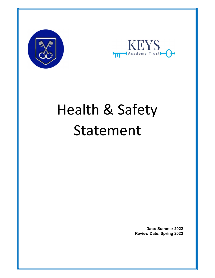



# Health & Safety Statement

Date: Summer 2022 Review Date: Spring 2023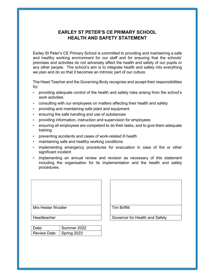## EARLEY ST PETER'S CE PRIMARY SCHOOL HEALTH AND SAFETY STATEMENT

Earley St Peter's CE Primary School is committed to providing and maintaining a safe and healthy working environment for our staff and for ensuring that the schools' premises and activities do not adversely affect the health and safety of our pupils or any other people. The school's aim is to integrate health and safety into everything we plan and do so that it becomes an intrinsic part of our culture.

The Head Teacher and the Governing Body recognise and accept their responsibilities by:

- providing adequate control of the health and safety risks arising from the school's work activities
- consulting with our employees on matters affecting their health and safety
- providing and maintaining safe plant and equipment
- ensuring the safe handling and use of substances
- providing information, instruction and supervision for employees
- ensuring all employees are competent to do their tasks, and to give them adequate training
- preventing accidents and cases of work-related ill health
- maintaining safe and healthy working conditions
- implementing emergency procedures for evacuation in case of fire or other significant incident
- implementing an annual review and revision as necessary of this statement including the organisation for its implementation and the health and safety procedures.



| Date:                      | Summer 2022 |
|----------------------------|-------------|
| Review Date:   Spring 2023 |             |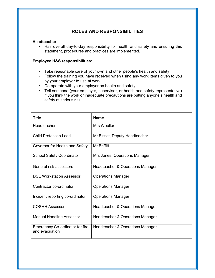## ROLES AND RESPONSIBILITIES

#### Headteacher

• Has overall day-to-day responsibility for health and safety and ensuring this statement, procedures and practices are implemented.

#### Employee H&S responsibilities:

- Take reasonable care of your own and other people's health and safety
- Follow the training you have received when using any work items given to you by your employer to use at work
- Co-operate with your employer on health and safety
- Tell someone (your employer, supervisor, or health and safety representative) if you think the work or inadequate precautions are putting anyone's health and safety at serious risk

| Title                                                    | <b>Name</b>                      |
|----------------------------------------------------------|----------------------------------|
| Headteacher                                              | Mrs Wooller                      |
| <b>Child Protection Lead</b>                             | Mr Bisset, Deputy Headteacher    |
| Governor for Health and Safety                           | Mr Briffitt                      |
| <b>School Safety Coordinator</b>                         | Mrs Jones, Operations Manager    |
| General risk assessors                                   | Headteacher & Operations Manager |
| <b>DSE Workstation Assessor</b>                          | <b>Operations Manager</b>        |
| Contractor co-ordinator                                  | <b>Operations Manager</b>        |
| Incident reporting co-ordinator                          | <b>Operations Manager</b>        |
| <b>COSHH Assessor</b>                                    | Headteacher & Operations Manager |
| <b>Manual Handling Assessor</b>                          | Headteacher & Operations Manager |
| <b>Emergency Co-ordinator for fire</b><br>and evacuation | Headteacher & Operations Manager |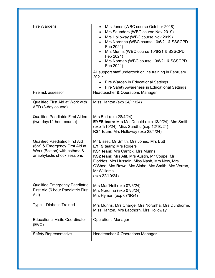| <b>Fire Wardens</b>                                                                                                                    | Mrs Jones (WBC course October 2018)<br>$\bullet$<br>Mrs Saunders (WBC course Nov 2019)<br>٠<br>Mrs Holloway (WBC course Nov 2019)<br>$\bullet$<br>Mrs Noronha (WBC course 10/6/21 & SSSCPD<br>$\bullet$<br>Feb 2021)<br>Mrs Munns (WBC course 10/6/21 & SSSCPD<br>Feb 2021)<br>Mrs Norman (WBC course 10/6/21 & SSSCPD<br>Feb 2021)<br>All support staff undertook online training in February<br>2021:<br>Fire Warden in Educational Settings<br>$\bullet$<br>Fire Safety Awareness in Educational Settings |
|----------------------------------------------------------------------------------------------------------------------------------------|--------------------------------------------------------------------------------------------------------------------------------------------------------------------------------------------------------------------------------------------------------------------------------------------------------------------------------------------------------------------------------------------------------------------------------------------------------------------------------------------------------------|
| Fire risk assessor                                                                                                                     | Headteacher & Operations Manager                                                                                                                                                                                                                                                                                                                                                                                                                                                                             |
| Qualified First Aid at Work with<br>AED (3-day course)<br><b>Qualified Paediatric First Aiders</b>                                     | Miss Hanton (exp 24/11/24)<br>Mrs Butt (exp 28/4/24)                                                                                                                                                                                                                                                                                                                                                                                                                                                         |
| (two-day/12-hour course)                                                                                                               | <b>EYFS team:</b> Mrs MacDonald (exp 13/9/24), Mrs Smith<br>(exp 1/10/24), Miss Sandhu (exp 12/10/24)<br>KS1 team: Mrs Holloway (exp 28/4/24)                                                                                                                                                                                                                                                                                                                                                                |
| <b>Qualified Paediatric First Aid</b><br>(6hr) & Emergency First Aid at<br>Work (Bolt on) with asthma &<br>anaphylactic shock sessions | Mr Bisset, Mr Smith, Mrs Jones, Mrs Butt<br><b>EYFS team: Mrs Rogers</b><br>KS1 team: Mrs Carrick, Mrs Munns<br>KS2 team: Mrs Atif, Mrs Austin, Mr Coupe, Mr<br>Florides, Mrs Hussain, Miss Nash, Mrs New, Mrs<br>O'Shea, Mrs Rowe, Mrs Sinha, Mrs Smith, Mrs Verran,<br>Mr Williams<br>(exp 22/10/24)                                                                                                                                                                                                       |
| <b>Qualified Emergency Paediatric</b><br>First Aid (6 hour Paediatric First<br>Aid)                                                    | Mrs Mac'Neil (exp 07/6/24)<br>Mrs Noronha (exp 07/6/24)<br>Mrs Hyman (exp 07/6/24)                                                                                                                                                                                                                                                                                                                                                                                                                           |
| Type 1 Diabetic Trained                                                                                                                | Mrs Munns, Mrs Charge, Mrs Noronha, Mrs Dunthorne,<br>Miss Hanton, Mrs Lapthorn, Mrs Holloway                                                                                                                                                                                                                                                                                                                                                                                                                |
| <b>Educational Visits Coordinator</b><br>(EVC)                                                                                         | <b>Operations Manager</b>                                                                                                                                                                                                                                                                                                                                                                                                                                                                                    |
| <b>Safety Representative</b>                                                                                                           | Headteacher & Operations Manager                                                                                                                                                                                                                                                                                                                                                                                                                                                                             |